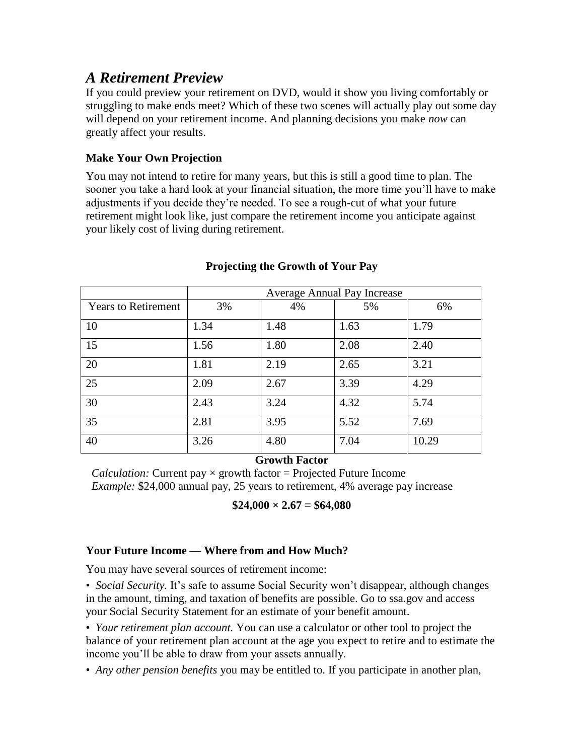# *A Retirement Preview*

If you could preview your retirement on DVD, would it show you living comfortably or struggling to make ends meet? Which of these two scenes will actually play out some day will depend on your retirement income. And planning decisions you make *now* can greatly affect your results.

## **Make Your Own Projection**

You may not intend to retire for many years, but this is still a good time to plan. The sooner you take a hard look at your financial situation, the more time you'll have to make adjustments if you decide they're needed. To see a rough-cut of what your future retirement might look like, just compare the retirement income you anticipate against your likely cost of living during retirement.

|                            | <b>Average Annual Pay Increase</b> |      |      |       |
|----------------------------|------------------------------------|------|------|-------|
| <b>Years to Retirement</b> | 3%                                 | 4%   | 5%   | 6%    |
| 10                         | 1.34                               | 1.48 | 1.63 | 1.79  |
| 15                         | 1.56                               | 1.80 | 2.08 | 2.40  |
| 20                         | 1.81                               | 2.19 | 2.65 | 3.21  |
| 25                         | 2.09                               | 2.67 | 3.39 | 4.29  |
| 30                         | 2.43                               | 3.24 | 4.32 | 5.74  |
| $\overline{35}$            | 2.81                               | 3.95 | 5.52 | 7.69  |
| 40                         | 3.26                               | 4.80 | 7.04 | 10.29 |

#### **Projecting the Growth of Your Pay**

## **Growth Factor**

*Calculation:* Current pay  $\times$  growth factor = Projected Future Income *Example:* \$24,000 annual pay, 25 years to retirement, 4% average pay increase

 $$24,000 \times 2.67 = $64,080$ 

## **Your Future Income — Where from and How Much?**

You may have several sources of retirement income:

• *Social Security.* It's safe to assume Social Security won't disappear, although changes in the amount, timing, and taxation of benefits are possible. Go to ssa.gov and access your Social Security Statement for an estimate of your benefit amount.

• *Your retirement plan account.* You can use a calculator or other tool to project the balance of your retirement plan account at the age you expect to retire and to estimate the income you'll be able to draw from your assets annually.

• *Any other pension benefits* you may be entitled to. If you participate in another plan,